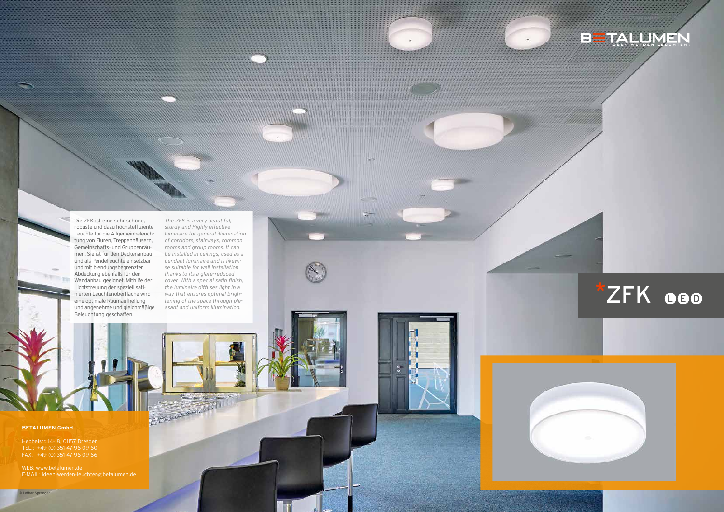Die ZFK ist eine sehr schöne, robuste und dazu höchsteffiziente Leuchte für die Allgemeinbeleuchtung von Fluren, Treppenhäusern, Gemeinschafts- und Gruppenräumen. Sie ist für den Deckenanbau und als Pendelleuchte einsetzbar und mit blendungsbegrenzter Abdeckung ebenfalls für den Abdeckung ebernalis ist. 2011<br>Wandanbau geeignet. Mithilfe der Lichtstreuung der speziell satinierten Leuchtenoberfläche wird eine optimale Raumaufhellung und angenehme und gleichmäßige Beleuchtung geschaffen.

*The ZFK is a very beautiful, sturdy and Highly effective luminaire for general illumination of corridors, stairways, common rooms and group rooms. It can be installed in ceilings, used as a pendant luminaire and is likewise suitable for wall installation thanks to its a glare-reduced cover. With a special satin finish, the luminaire diffuses light in a way that ensures optimal brightening of the space through pleasant and uniform illumination.*

**READERS** 



# \*ZFK GOO



# **BETALUMEN GmbH**

Hebbelstr. 14–18, 01157 Dresden TEL.: +49 (0) 351 47 96 09 60 FAX: +49 (0) 351 47 96 09 66

 $\sim$ 

WEB: www.betalumen.de E-MAIL: ideen-werden-leuchten@betalumen.de